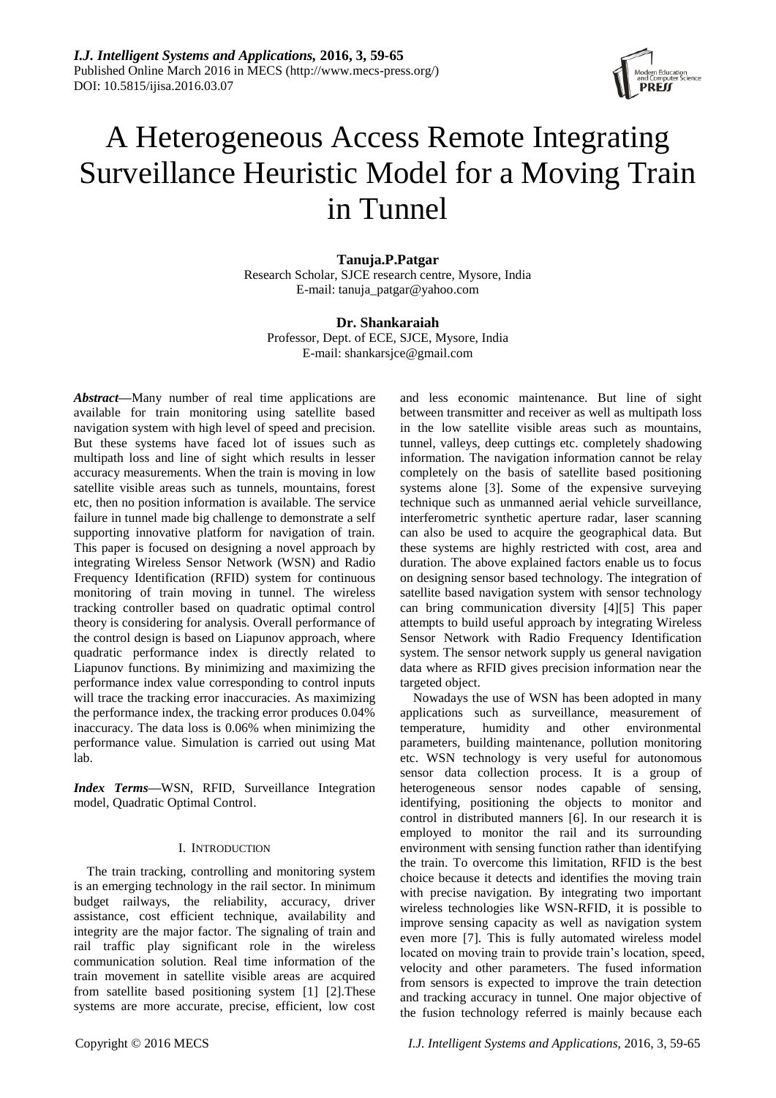

# A Heterogeneous Access Remote Integrating Surveillance Heuristic Model for a Moving Train in Tunnel

### **Tanuja.P.Patgar** Research Scholar, SJCE research centre, Mysore, India E-mail: tanuja\_patgar@yahoo.com

# **Dr. Shankaraiah**

Professor, Dept. of ECE, SJCE, Mysore, India E-mail: shankarsjce@gmail.com

*Abstract—*Many number of real time applications are available for train monitoring using satellite based navigation system with high level of speed and precision. But these systems have faced lot of issues such as multipath loss and line of sight which results in lesser accuracy measurements. When the train is moving in low satellite visible areas such as tunnels, mountains, forest etc, then no position information is available. The service failure in tunnel made big challenge to demonstrate a self supporting innovative platform for navigation of train. This paper is focused on designing a novel approach by integrating Wireless Sensor Network (WSN) and Radio Frequency Identification (RFID) system for continuous monitoring of train moving in tunnel. The wireless tracking controller based on quadratic optimal control theory is considering for analysis. Overall performance of the control design is based on Liapunov approach, where quadratic performance index is directly related to Liapunov functions. By minimizing and maximizing the performance index value corresponding to control inputs will trace the tracking error inaccuracies. As maximizing the performance index, the tracking error produces 0.04% inaccuracy. The data loss is 0.06% when minimizing the performance value. Simulation is carried out using Mat lab.

*Index Terms—*WSN, RFID, Surveillance Integration model, Quadratic Optimal Control.

## I. INTRODUCTION

The train tracking, controlling and monitoring system is an emerging technology in the rail sector. In minimum budget railways, the reliability, accuracy, driver assistance, cost efficient technique, availability and integrity are the major factor. The signaling of train and rail traffic play significant role in the wireless communication solution. Real time information of the train movement in satellite visible areas are acquired from satellite based positioning system [1] [2].These systems are more accurate, precise, efficient, low cost

and less economic maintenance. But line of sight between transmitter and receiver as well as multipath loss in the low satellite visible areas such as mountains, tunnel, valleys, deep cuttings etc. completely shadowing information. The navigation information cannot be relay completely on the basis of satellite based positioning systems alone [3]. Some of the expensive surveying technique such as unmanned aerial vehicle surveillance, interferometric synthetic aperture radar, laser scanning can also be used to acquire the geographical data. But these systems are highly restricted with cost, area and duration. The above explained factors enable us to focus on designing sensor based technology. The integration of satellite based navigation system with sensor technology can bring communication diversity [4][5] This paper attempts to build useful approach by integrating Wireless Sensor Network with Radio Frequency Identification system. The sensor network supply us general navigation data where as RFID gives precision information near the targeted object.

Nowadays the use of WSN has been adopted in many applications such as surveillance, measurement of temperature, humidity and other environmental parameters, building maintenance, pollution monitoring etc. WSN technology is very useful for autonomous sensor data collection process. It is a group of heterogeneous sensor nodes capable of sensing, identifying, positioning the objects to monitor and control in distributed manners [6]. In our research it is employed to monitor the rail and its surrounding environment with sensing function rather than identifying the train. To overcome this limitation, RFID is the best choice because it detects and identifies the moving train with precise navigation. By integrating two important wireless technologies like WSN-RFID, it is possible to improve sensing capacity as well as navigation system even more [7]. This is fully automated wireless model located on moving train to provide train's location, speed, velocity and other parameters. The fused information from sensors is expected to improve the train detection and tracking accuracy in tunnel. One major objective of the fusion technology referred is mainly because each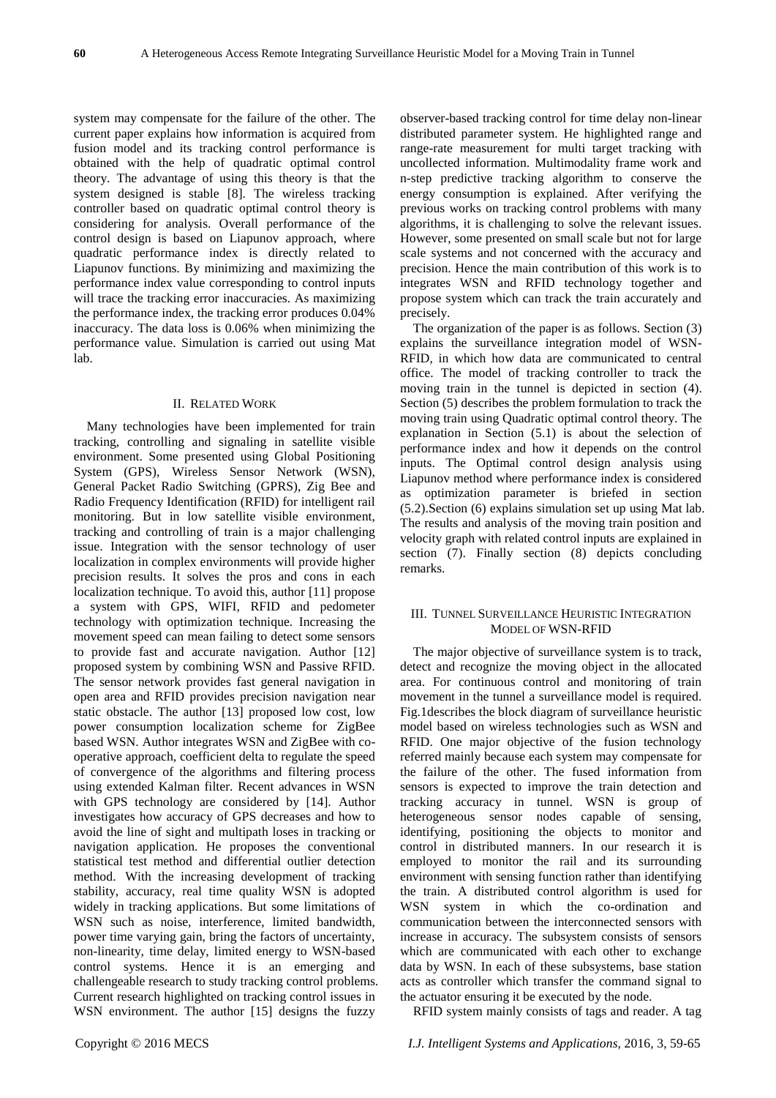system may compensate for the failure of the other. The current paper explains how information is acquired from fusion model and its tracking control performance is obtained with the help of quadratic optimal control theory. The advantage of using this theory is that the system designed is stable [8]. The wireless tracking controller based on quadratic optimal control theory is considering for analysis. Overall performance of the control design is based on Liapunov approach, where quadratic performance index is directly related to Liapunov functions. By minimizing and maximizing the performance index value corresponding to control inputs will trace the tracking error inaccuracies. As maximizing the performance index, the tracking error produces 0.04% inaccuracy. The data loss is 0.06% when minimizing the performance value. Simulation is carried out using Mat lab.

#### II. RELATED WORK

Many technologies have been implemented for train tracking, controlling and signaling in satellite visible environment. Some presented using Global Positioning System (GPS), Wireless Sensor Network (WSN), General Packet Radio Switching (GPRS), Zig Bee and Radio Frequency Identification (RFID) for intelligent rail monitoring. But in low satellite visible environment, tracking and controlling of train is a major challenging issue. Integration with the sensor technology of user localization in complex environments will provide higher precision results. It solves the pros and cons in each localization technique. To avoid this, author [11] propose a system with GPS, WIFI, RFID and pedometer technology with optimization technique. Increasing the movement speed can mean failing to detect some sensors to provide fast and accurate navigation. Author [12] proposed system by combining WSN and Passive RFID. The sensor network provides fast general navigation in open area and RFID provides precision navigation near static obstacle. The author [13] proposed low cost, low power consumption localization scheme for ZigBee based WSN. Author integrates WSN and ZigBee with cooperative approach, coefficient delta to regulate the speed of convergence of the algorithms and filtering process using extended Kalman filter. Recent advances in WSN with GPS technology are considered by [14]. Author investigates how accuracy of GPS decreases and how to avoid the line of sight and multipath loses in tracking or navigation application. He proposes the conventional statistical test method and differential outlier detection method. With the increasing development of tracking stability, accuracy, real time quality WSN is adopted widely in tracking applications. But some limitations of WSN such as noise, interference, limited bandwidth, power time varying gain, bring the factors of uncertainty, non-linearity, time delay, limited energy to WSN-based control systems. Hence it is an emerging and challengeable research to study tracking control problems. Current research highlighted on tracking control issues in WSN environment. The author [15] designs the fuzzy

observer-based tracking control for time delay non-linear distributed parameter system. He highlighted range and range-rate measurement for multi target tracking with uncollected information. Multimodality frame work and n-step predictive tracking algorithm to conserve the energy consumption is explained. After verifying the previous works on tracking control problems with many algorithms, it is challenging to solve the relevant issues. However, some presented on small scale but not for large scale systems and not concerned with the accuracy and precision. Hence the main contribution of this work is to integrates WSN and RFID technology together and propose system which can track the train accurately and precisely.

The organization of the paper is as follows. Section (3) explains the surveillance integration model of WSN-RFID, in which how data are communicated to central office. The model of tracking controller to track the moving train in the tunnel is depicted in section (4). Section (5) describes the problem formulation to track the moving train using Quadratic optimal control theory. The explanation in Section (5.1) is about the selection of performance index and how it depends on the control inputs. The Optimal control design analysis using Liapunov method where performance index is considered as optimization parameter is briefed in section (5.2).Section (6) explains simulation set up using Mat lab. The results and analysis of the moving train position and velocity graph with related control inputs are explained in section (7). Finally section (8) depicts concluding remarks.

#### III. TUNNEL SURVEILLANCE HEURISTIC INTEGRATION MODEL OF WSN-RFID

The major objective of surveillance system is to track, detect and recognize the moving object in the allocated area. For continuous control and monitoring of train movement in the tunnel a surveillance model is required. Fig.1describes the block diagram of surveillance heuristic model based on wireless technologies such as WSN and RFID. One major objective of the fusion technology referred mainly because each system may compensate for the failure of the other. The fused information from sensors is expected to improve the train detection and tracking accuracy in tunnel. WSN is group of heterogeneous sensor nodes capable of sensing, identifying, positioning the objects to monitor and control in distributed manners. In our research it is employed to monitor the rail and its surrounding environment with sensing function rather than identifying the train. A distributed control algorithm is used for WSN system in which the co-ordination and communication between the interconnected sensors with increase in accuracy. The subsystem consists of sensors which are communicated with each other to exchange data by WSN. In each of these subsystems, base station acts as controller which transfer the command signal to the actuator ensuring it be executed by the node.

RFID system mainly consists of tags and reader. A tag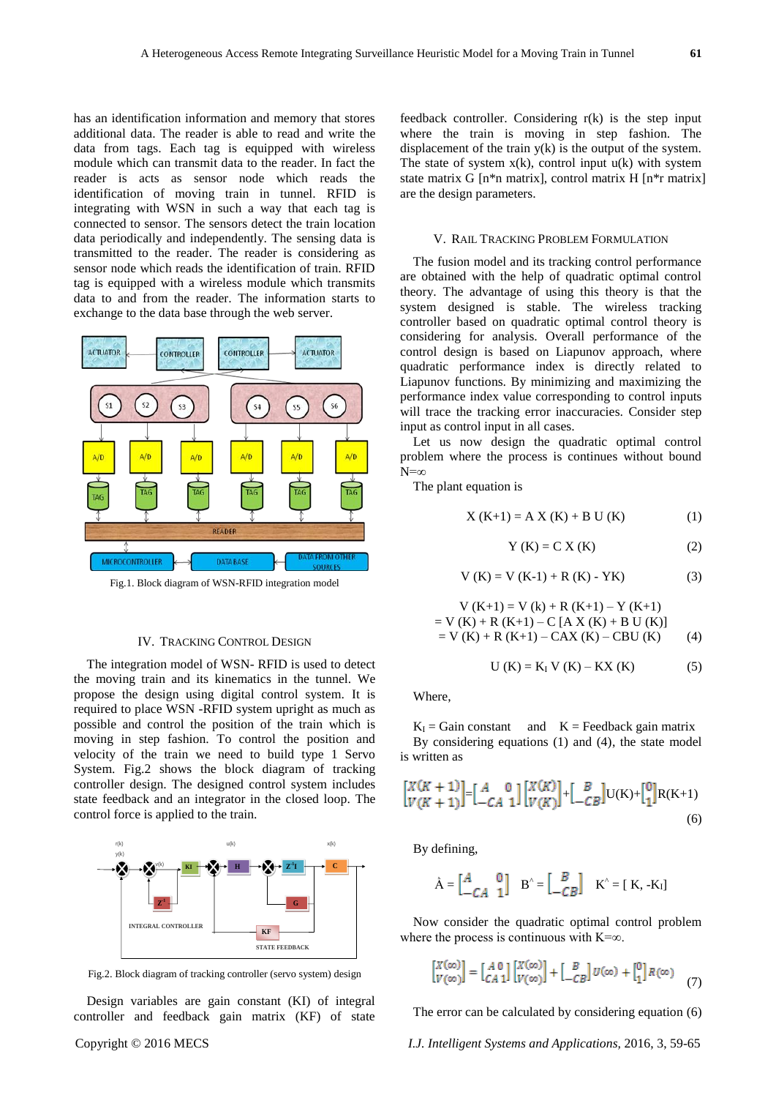has an identification information and memory that stores additional data. The reader is able to read and write the data from tags. Each tag is equipped with wireless module which can transmit data to the reader. In fact the reader is acts as sensor node which reads the identification of moving train in tunnel. RFID is integrating with WSN in such a way that each tag is connected to sensor. The sensors detect the train location data periodically and independently. The sensing data is transmitted to the reader. The reader is considering as sensor node which reads the identification of train. RFID tag is equipped with a wireless module which transmits data to and from the reader. The information starts to exchange to the data base through the web server.



Fig.1. Block diagram of WSN-RFID integration model

#### IV. TRACKING CONTROL DESIGN

The integration model of WSN- RFID is used to detect the moving train and its kinematics in the tunnel. We propose the design using digital control system. It is required to place WSN -RFID system upright as much as possible and control the position of the train which is moving in step fashion. To control the position and velocity of the train we need to build type 1 Servo System. Fig.2 shows the block diagram of tracking controller design. The designed control system includes state feedback and an integrator in the closed loop. The control force is applied to the train.



Fig.2. Block diagram of tracking controller (servo system) design

Design variables are gain constant (KI) of integral controller and feedback gain matrix (KF) of state feedback controller. Considering r(k) is the step input where the train is moving in step fashion. The displacement of the train y(k) is the output of the system. The state of system  $x(k)$ , control input  $u(k)$  with system state matrix G [n\*n matrix], control matrix H [n\*r matrix] are the design parameters.

#### V. RAIL TRACKING PROBLEM FORMULATION

The fusion model and its tracking control performance are obtained with the help of quadratic optimal control theory. The advantage of using this theory is that the system designed is stable. The wireless tracking controller based on quadratic optimal control theory is considering for analysis. Overall performance of the control design is based on Liapunov approach, where quadratic performance index is directly related to Liapunov functions. By minimizing and maximizing the performance index value corresponding to control inputs will trace the tracking error inaccuracies. Consider step input as control input in all cases.

Let us now design the quadratic optimal control problem where the process is continues without bound  $N=\infty$ 

The plant equation is

$$
X (K+1) = A X (K) + B U (K)
$$
 (1)

$$
Y (K) = C X (K)
$$
 (2)

$$
V (K) = V (K-1) + R (K) - YK)
$$
 (3)

$$
V (K+1) = V (k) + R (K+1) - Y (K+1)
$$
  
= V (K) + R (K+1) - C [A X (K) + B U (K)]  
= V (K) + R (K+1) - CAX (K) - CBU (K) (4)

$$
U (K) = K_I V (K) - KX (K)
$$
 (5)

Where,

 $K_I$  = Gain constant and  $K$  = Feedback gain matrix By considering equations (1) and (4), the state model is written as

$$
\begin{bmatrix} X(K+1) \\ V(K+1) \end{bmatrix} = \begin{bmatrix} A & 0 \\ -CA & 1 \end{bmatrix} \begin{bmatrix} X(K) \\ V(K) \end{bmatrix} + \begin{bmatrix} B \\ -CB \end{bmatrix} U(K) + \begin{bmatrix} 0 \\ 1 \end{bmatrix} R(K+1) \tag{6}
$$

By defining,

$$
\hat{A} = \begin{bmatrix} A & 0 \\ -CA & 1 \end{bmatrix} \quad B^{\wedge} = \begin{bmatrix} B \\ -CB \end{bmatrix} \quad K^{\wedge} = [\begin{array}{c} K, -K_1 \end{array}]
$$

Now consider the quadratic optimal control problem where the process is continuous with  $K=\infty$ .

$$
\begin{bmatrix} X(\infty) \\ V(\infty) \end{bmatrix} = \begin{bmatrix} A & 0 \\ CA & 1 \end{bmatrix} \begin{bmatrix} X(\infty) \\ V(\infty) \end{bmatrix} + \begin{bmatrix} B \\ -CB \end{bmatrix} U(\infty) + \begin{bmatrix} 0 \\ 1 \end{bmatrix} R(\infty) \tag{7}
$$

The error can be calculated by considering equation (6)

Copyright © 2016 MECS *I.J. Intelligent Systems and Applications,* 2016, 3, 59-65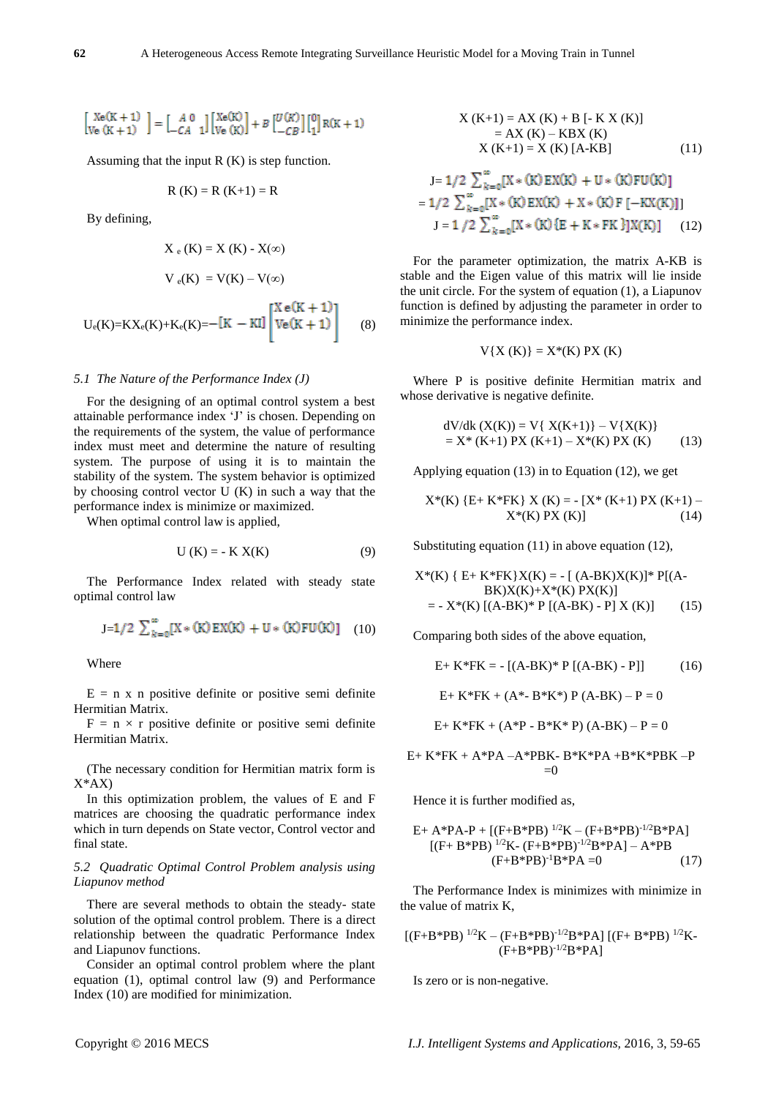# $\begin{bmatrix} \text{Xe}(K+1) \\ \text{Ve}(K+1) \end{bmatrix} = \begin{bmatrix} A & 0 \\ -CA & 1 \end{bmatrix} \begin{bmatrix} \text{Xe}(K) \\ \text{Ve}(K) \end{bmatrix} + B \begin{bmatrix} U(K) \\ -CB \end{bmatrix} \begin{bmatrix} 0 \\ 1 \end{bmatrix} R(K+1)$

Assuming that the input R (K) is step function.

$$
R(K) = R(K+1) = R
$$

By defining,

$$
X_e(K) = X(K) - X(\infty)
$$
  

$$
V_e(K) = V(K) - V(\infty)
$$
  

$$
U_e(K) = KX_e(K) + K_e(K) = -[K - K] \begin{bmatrix} X e(K+1) \\ Ve(K+1) \\ \end{bmatrix}
$$
 (8)

#### *5.1 The Nature of the Performance Index (J)*

For the designing of an optimal control system a best attainable performance index 'J' is chosen. Depending on the requirements of the system, the value of performance index must meet and determine the nature of resulting system. The purpose of using it is to maintain the stability of the system. The system behavior is optimized by choosing control vector U (K) in such a way that the performance index is minimize or maximized.

When optimal control law is applied,

$$
U(K) = -K X(K)
$$
 (9)

The Performance Index related with steady state optimal control law

$$
J=1/2 \sum_{k=0}^{\infty} [X * (K) EX(K) + U * (K) FU(K)] \quad (10)
$$

Where

 $E = n \times n$  positive definite or positive semi definite Hermitian Matrix.

 $F = n \times r$  positive definite or positive semi definite Hermitian Matrix.

(The necessary condition for Hermitian matrix form is  $X^*AX$ 

In this optimization problem, the values of E and F matrices are choosing the quadratic performance index which in turn depends on State vector, Control vector and final state.

#### *5.2 Quadratic Optimal Control Problem analysis using Liapunov method*

There are several methods to obtain the steady- state solution of the optimal control problem. There is a direct relationship between the quadratic Performance Index and Liapunov functions.

Consider an optimal control problem where the plant equation (1), optimal control law (9) and Performance Index (10) are modified for minimization.

$$
X (K+1) = AX (K) + B [- K X (K)]
$$
  
= AX (K) - KBX (K)  

$$
X (K+1) = X (K) [A-KB]
$$
 (11)

$$
J = 1/2 \sum_{k=0}^{\infty} [X * (K) EX(K) + U * (K) FU(K)]
$$
  
= 1/2  $\sum_{k=0}^{\infty} [X * (K) EX(K) + X * (K) F [-KX(K)]]$   

$$
J = 1/2 \sum_{k=0}^{\infty} [X * (K) {E + K * FK} ]X(K)] \qquad (12)
$$

For the parameter optimization, the matrix A-KB is stable and the Eigen value of this matrix will lie inside the unit circle. For the system of equation (1), a Liapunov function is defined by adjusting the parameter in order to minimize the performance index.

$$
V{X(K)} = X*(K)PX(K)
$$

Where P is positive definite Hermitian matrix and whose derivative is negative definite.

$$
dV/dk (X(K)) = V{ X(K+1) } - V{ X(K) }= X* (K+1) PX (K+1) - X*(K) PX (K)
$$
 (13)

Applying equation (13) in to Equation (12), we get

$$
X^*(K) \{E+K^*FK\} X (K) = - [X^* (K+1) PX (K+1) - X^*(K) PX (K)]
$$
\n(14)

Substituting equation (11) in above equation (12),

$$
X^*(K) \{ E + K^*FK\}X(K) = - [(A-BK)X(K)]^* P[(A-BK)X(K)+X^*(K) PX(K)]
$$
  
= - X^\*(K) [(A-BK)^\* P [(A-BK) - P] X (K)] (15)

Comparing both sides of the above equation,

$$
E+K*FK = - [(A-BK)*P [(A-BK) - P]]
$$
 (16)

E+ K\*FK + ( $A^*$ - B\*K\*) P ( $A$ -BK) – P = 0

$$
E+K*FK + (A*P - B*K*P) (A-BK) - P = 0
$$

E+ K\*FK + A\*PA –A\*PBK- B\*K\*PA +B\*K\*PBK –P  $=0$ 

Hence it is further modified as,

E+ A\*PA-P + [(F+B\*PB) 1/2K – (F+B\*PB)-1/2B\*PA] [(F+ B\*PB) 1/2K- (F+B\*PB)-1/2B\*PA] – A\*PB (F+B\*PB)-1B\*PA =0 (17)

The Performance Index is minimizes with minimize in the value of matrix K,

 $[(F+B*PB)^{1/2}K - (F+B*PB)^{-1/2}B*PA] [(F+B*PB)^{1/2}K (F+B*PB)^{-1/2}B*PA$ ]

Is zero or is non-negative.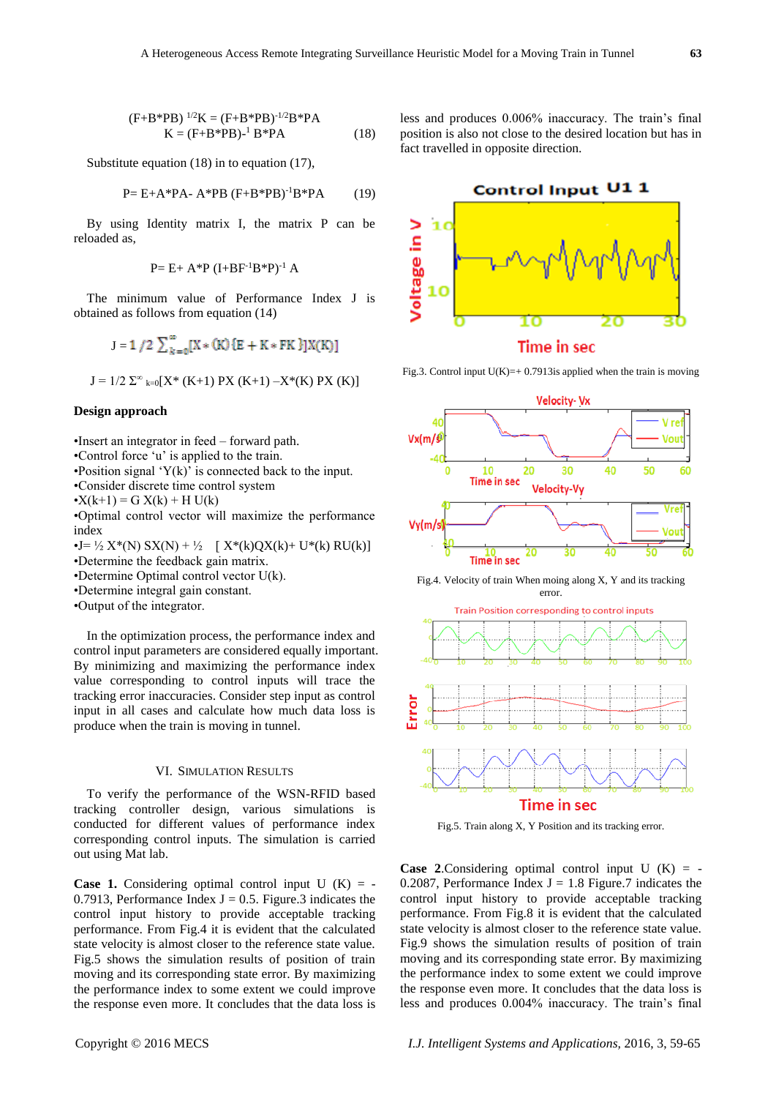$$
(F+B*PB)^{1/2}K = (F+B*PB)^{-1/2}B*PA
$$
  
K = (F+B\*PB)<sup>-1</sup>B\*PA (18)

Substitute equation (18) in to equation (17),

$$
P = E + A^* P A - A^* P B (F + B^* P B)^{-1} B^* P A
$$
 (19)

By using Identity matrix I, the matrix P can be reloaded as,

$$
P = E + A^*P (I + BF^{-1}B^*P)^{-1} A
$$

The minimum value of Performance Index J is obtained as follows from equation (14)

$$
J = 1 / 2 \sum_{k=0}^{\infty} [X * (K) {E + K * FK} ]X(K)]
$$
  

$$
J = 1/2 \sum_{k=0}^{\infty} [X * (K+1) PX (K+1) - X * (K) PX (K)]
$$

#### **Design approach**

•Insert an integrator in feed – forward path.

•Control force 'u' is applied to the train.

- •Position signal  $Y(k)$  is connected back to the input.
- •Consider discrete time control system

• $X(k+1) = G X(k) + H U(k)$ 

•Optimal control vector will maximize the performance index

•J= ½ X\*(N) SX(N) + ½ [ X\*(k)QX(k)+ U\*(k) RU(k)]

- •Determine the feedback gain matrix.
- •Determine Optimal control vector U(k).

•Determine integral gain constant.

•Output of the integrator.

In the optimization process, the performance index and control input parameters are considered equally important. By minimizing and maximizing the performance index value corresponding to control inputs will trace the tracking error inaccuracies. Consider step input as control input in all cases and calculate how much data loss is produce when the train is moving in tunnel.

#### VI. SIMULATION RESULTS

To verify the performance of the WSN-RFID based tracking controller design, various simulations is conducted for different values of performance index corresponding control inputs. The simulation is carried out using Mat lab.

**Case 1.** Considering optimal control input  $U(K) = -$ 0.7913, Performance Index  $J = 0.5$ . Figure.3 indicates the control input history to provide acceptable tracking performance. From Fig.4 it is evident that the calculated state velocity is almost closer to the reference state value. Fig.5 shows the simulation results of position of train moving and its corresponding state error. By maximizing the performance index to some extent we could improve the response even more. It concludes that the data loss is less and produces 0.006% inaccuracy. The train's final position is also not close to the desired location but has in fact travelled in opposite direction.



Fig.3. Control input  $U(K)=+0.7913$  is applied when the train is moving



Fig.4. Velocity of train When moing along X, Y and its tracking error



Fig.5. Train along X, Y Position and its tracking error.

**Case 2.**Considering optimal control input  $U(K) = -$ 0.2087, Performance Index  $J = 1.8$  Figure.7 indicates the control input history to provide acceptable tracking performance. From Fig.8 it is evident that the calculated state velocity is almost closer to the reference state value. Fig.9 shows the simulation results of position of train moving and its corresponding state error. By maximizing the performance index to some extent we could improve the response even more. It concludes that the data loss is less and produces 0.004% inaccuracy. The train's final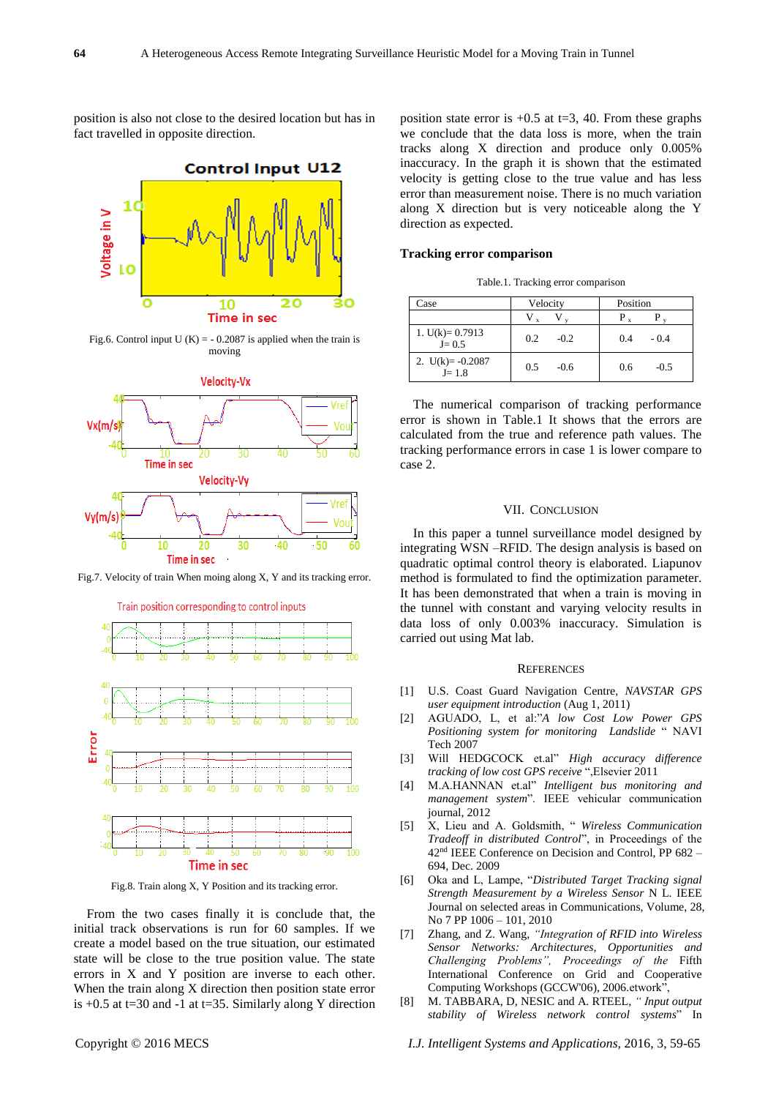position is also not close to the desired location but has in fact travelled in opposite direction.



Fig.6. Control input U  $(K) = -0.2087$  is applied when the train is moving



Fig.7. Velocity of train When moing along X, Y and its tracking error.



Fig.8. Train along X, Y Position and its tracking error.

From the two cases finally it is conclude that, the initial track observations is run for 60 samples. If we create a model based on the true situation, our estimated state will be close to the true position value. The state errors in X and Y position are inverse to each other. When the train along X direction then position state error is  $+0.5$  at t=30 and -1 at t=35. Similarly along Y direction

position state error is  $+0.5$  at t=3, 40. From these graphs we conclude that the data loss is more, when the train tracks along X direction and produce only 0.005% inaccuracy. In the graph it is shown that the estimated velocity is getting close to the true value and has less error than measurement noise. There is no much variation along X direction but is very noticeable along the Y direction as expected.

#### **Tracking error comparison**

Table.1. Tracking error comparison

| Case                | Velocity | Position |
|---------------------|----------|----------|
|                     |          |          |
| 1. $U(k) = 0.7913$  | 0.2      | 0.4      |
| $J = 0.5$           | $-0.2$   | $-0.4$   |
| 2. $U(k) = -0.2087$ | 0.5      | $-0.5$   |
| $J = 1.8$           | $-0.6$   | 0.6      |

The numerical comparison of tracking performance error is shown in Table.1 It shows that the errors are calculated from the true and reference path values. The tracking performance errors in case 1 is lower compare to case 2.

#### VII. CONCLUSION

In this paper a tunnel surveillance model designed by integrating WSN –RFID. The design analysis is based on quadratic optimal control theory is elaborated. Liapunov method is formulated to find the optimization parameter. It has been demonstrated that when a train is moving in the tunnel with constant and varying velocity results in data loss of only 0.003% inaccuracy. Simulation is carried out using Mat lab.

#### **REFERENCES**

- [1] U.S. Coast Guard Navigation Centre, *NAVSTAR GPS user equipment introduction* (Aug 1, 2011)
- [2] AGUADO, L, et al:"*A low Cost Low Power GPS Positioning system for monitoring Landslide* " NAVI Tech 2007
- [3] Will HEDGCOCK et.al" *High accuracy difference tracking of low cost GPS receive* ",Elsevier 2011
- [4] M.A.HANNAN et.al" *Intelligent bus monitoring and management system*". IEEE vehicular communication journal, 2012
- [5] X, Lieu and A. Goldsmith, " *Wireless Communication Tradeoff in distributed Control*", in Proceedings of the 42nd IEEE Conference on Decision and Control, PP 682 – 694, Dec. 2009
- [6] Oka and L, Lampe, "*Distributed Target Tracking signal Strength Measurement by a Wireless Sensor* N L. IEEE Journal on selected areas in Communications, Volume, 28, No 7 PP 1006 – 101, 2010
- [7] Zhang, and Z. Wang, *"Integration of RFID into Wireless Sensor Networks: Architectures, Opportunities and Challenging Problems", Proceedings of the* Fifth International Conference on Grid and Cooperative Computing Workshops (GCCW'06), 2006.etwork",
- [8] M. TABBARA, D, NESIC and A. RTEEL, *" Input output stability of Wireless network control systems*" In

Copyright © 2016 MECS *I.J. Intelligent Systems and Applications,* 2016, 3, 59-65